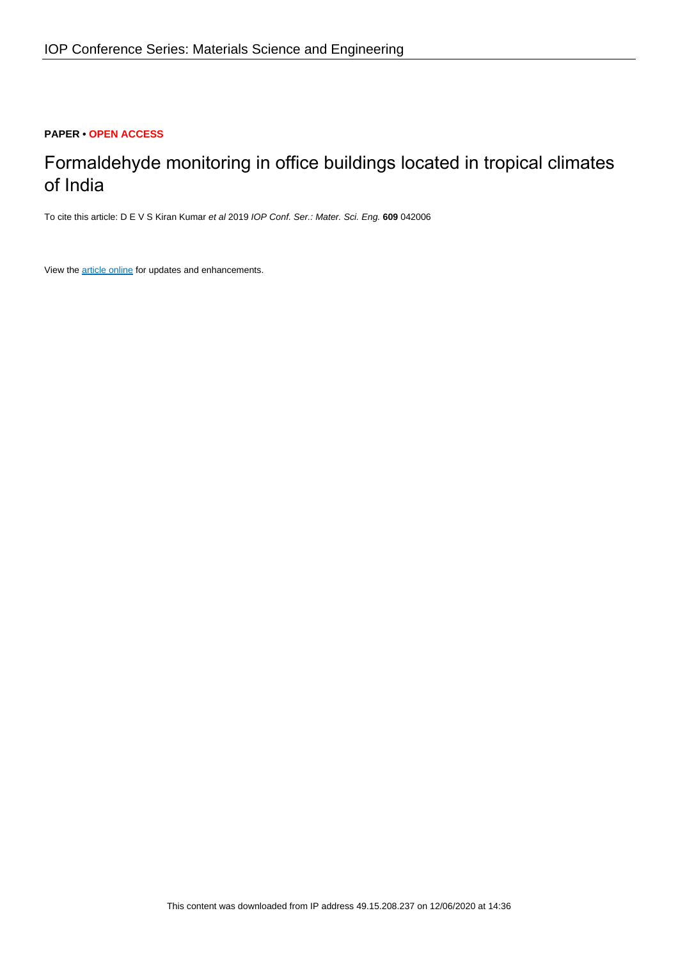## **PAPER • OPEN ACCESS**

## Formaldehyde monitoring in office buildings located in tropical climates of India

To cite this article: D E V S Kiran Kumar et al 2019 IOP Conf. Ser.: Mater. Sci. Eng. **609** 042006

View the [article online](https://doi.org/10.1088/1757-899X/609/4/042006) for updates and enhancements.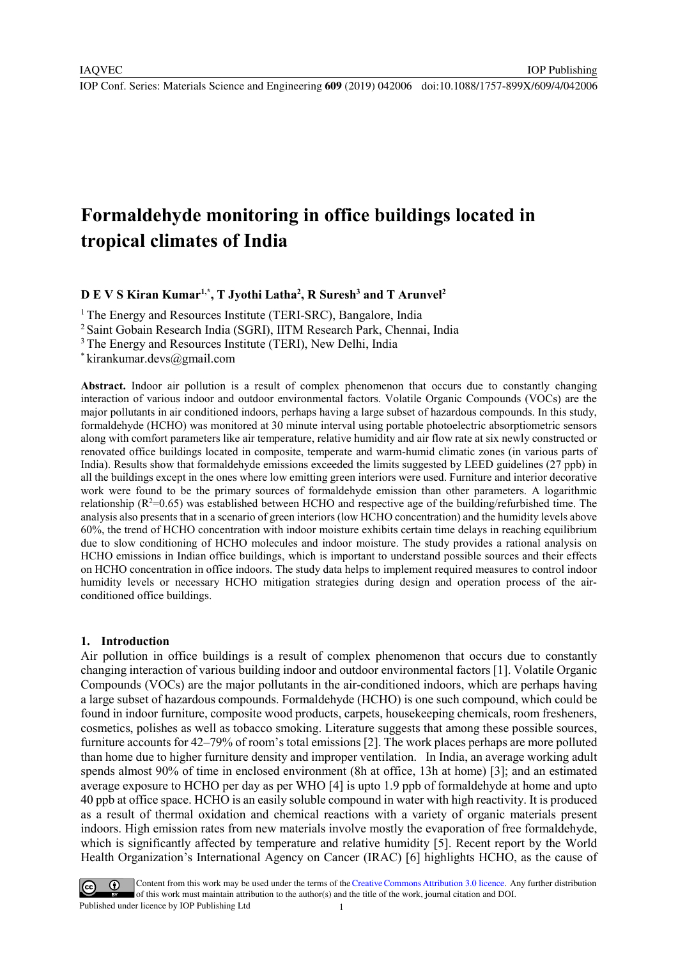IOP Publishing

# **Formaldehyde monitoring in office buildings located in tropical climates of India**

## **D E V S Kiran Kumar1,\*, T Jyothi Latha2 , R Suresh3 and T Arunvel2**

<sup>1</sup> The Energy and Resources Institute (TERI-SRC), Bangalore, India

<sup>2</sup> Saint Gobain Research India (SGRI), IITM Research Park, Chennai, India  ${}^{3}$ The Energy and Resources Institute (TERI), New Delhi, India

\* kirankumar.devs@gmail.com

**Abstract.** Indoor air pollution is a result of complex phenomenon that occurs due to constantly changing interaction of various indoor and outdoor environmental factors. Volatile Organic Compounds (VOCs) are the major pollutants in air conditioned indoors, perhaps having a large subset of hazardous compounds. In this study, formaldehyde (HCHO) was monitored at 30 minute interval using portable photoelectric absorptiometric sensors along with comfort parameters like air temperature, relative humidity and air flow rate at six newly constructed or renovated office buildings located in composite, temperate and warm-humid climatic zones (in various parts of India). Results show that formaldehyde emissions exceeded the limits suggested by LEED guidelines (27 ppb) in all the buildings except in the ones where low emitting green interiors were used. Furniture and interior decorative work were found to be the primary sources of formaldehyde emission than other parameters. A logarithmic relationship ( $R^2$ =0.65) was established between HCHO and respective age of the building/refurbished time. The analysis also presents that in a scenario of green interiors (low HCHO concentration) and the humidity levels above 60%, the trend of HCHO concentration with indoor moisture exhibits certain time delays in reaching equilibrium due to slow conditioning of HCHO molecules and indoor moisture. The study provides a rational analysis on HCHO emissions in Indian office buildings, which is important to understand possible sources and their effects on HCHO concentration in office indoors. The study data helps to implement required measures to control indoor humidity levels or necessary HCHO mitigation strategies during design and operation process of the airconditioned office buildings.

#### **1. Introduction**

Air pollution in office buildings is a result of complex phenomenon that occurs due to constantly changing interaction of various building indoor and outdoor environmental factors [1]. Volatile Organic Compounds (VOCs) are the major pollutants in the air-conditioned indoors, which are perhaps having a large subset of hazardous compounds. Formaldehyde (HCHO) is one such compound, which could be found in indoor furniture, composite wood products, carpets, housekeeping chemicals, room fresheners, cosmetics, polishes as well as tobacco smoking. Literature suggests that among these possible sources, furniture accounts for 42–79% of room's total emissions [2]. The work places perhaps are more polluted than home due to higher furniture density and improper ventilation. In India, an average working adult spends almost 90% of time in enclosed environment (8h at office, 13h at home) [3]; and an estimated average exposure to HCHO per day as per WHO [4] is upto 1.9 ppb of formaldehyde at home and upto 40 ppb at office space. HCHO is an easily soluble compound in water with high reactivity. It is produced as a result of thermal oxidation and chemical reactions with a variety of organic materials present indoors. High emission rates from new materials involve mostly the evaporation of free formaldehyde, which is significantly affected by temperature and relative humidity [5]. Recent report by the World Health Organization's International Agency on Cancer (IRAC) [6] highlights HCHO, as the cause of

Content from this work may be used under the terms of theCreative Commons Attribution 3.0 licence. Any further distribution of this work must maintain attribution to the author(s) and the title of the work, journal citation and DOI. Published under licence by IOP Publishing Ltd 1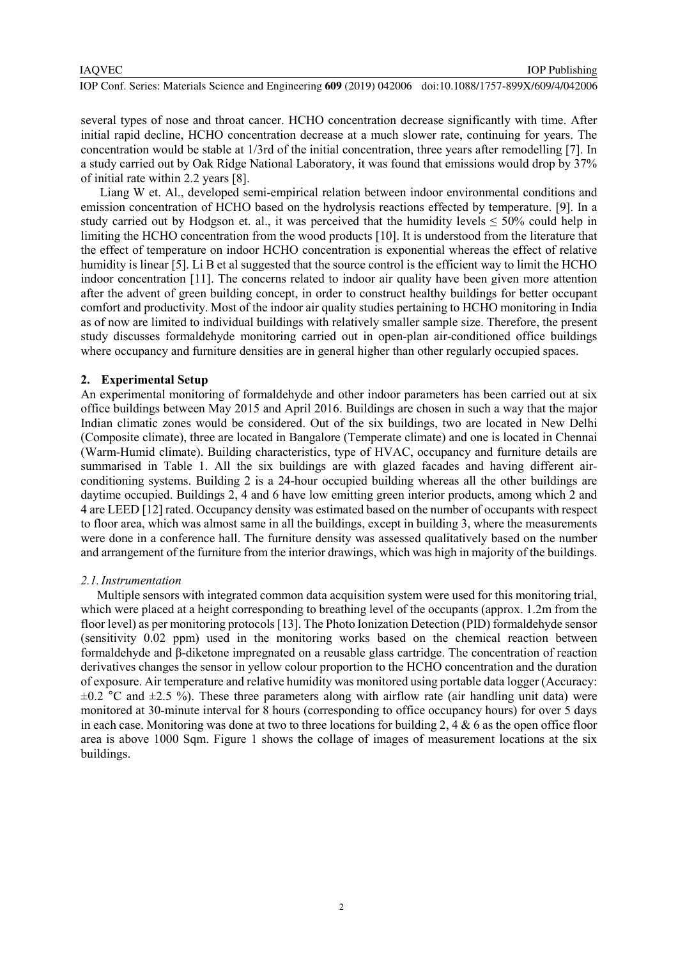#### IAQVEC

IOP Conf. Series: Materials Science and Engineering **609** (2019) 042006 doi:10.1088/1757-899X/609/4/042006

IOP Publishing

several types of nose and throat cancer. HCHO concentration decrease significantly with time. After initial rapid decline, HCHO concentration decrease at a much slower rate, continuing for years. The concentration would be stable at 1/3rd of the initial concentration, three years after remodelling [7]. In a study carried out by Oak Ridge National Laboratory, it was found that emissions would drop by 37% of initial rate within 2.2 years [8].

Liang W et. Al., developed semi-empirical relation between indoor environmental conditions and emission concentration of HCHO based on the hydrolysis reactions effected by temperature. [9]. In a study carried out by Hodgson et. al., it was perceived that the humidity levels  $\leq 50\%$  could help in limiting the HCHO concentration from the wood products [10]. It is understood from the literature that the effect of temperature on indoor HCHO concentration is exponential whereas the effect of relative humidity is linear [5]. Li B et al suggested that the source control is the efficient way to limit the HCHO indoor concentration [11]. The concerns related to indoor air quality have been given more attention after the advent of green building concept, in order to construct healthy buildings for better occupant comfort and productivity. Most of the indoor air quality studies pertaining to HCHO monitoring in India as of now are limited to individual buildings with relatively smaller sample size. Therefore, the present study discusses formaldehyde monitoring carried out in open-plan air-conditioned office buildings where occupancy and furniture densities are in general higher than other regularly occupied spaces.

#### **2. Experimental Setup**

An experimental monitoring of formaldehyde and other indoor parameters has been carried out at six office buildings between May 2015 and April 2016. Buildings are chosen in such a way that the major Indian climatic zones would be considered. Out of the six buildings, two are located in New Delhi (Composite climate), three are located in Bangalore (Temperate climate) and one is located in Chennai (Warm-Humid climate). Building characteristics, type of HVAC, occupancy and furniture details are summarised in Table 1. All the six buildings are with glazed facades and having different airconditioning systems. Building 2 is a 24-hour occupied building whereas all the other buildings are daytime occupied. Buildings 2, 4 and 6 have low emitting green interior products, among which 2 and 4 are LEED [12] rated. Occupancy density was estimated based on the number of occupants with respect to floor area, which was almost same in all the buildings, except in building 3, where the measurements were done in a conference hall. The furniture density was assessed qualitatively based on the number and arrangement of the furniture from the interior drawings, which was high in majority of the buildings.

#### *2.1.Instrumentation*

Multiple sensors with integrated common data acquisition system were used for this monitoring trial, which were placed at a height corresponding to breathing level of the occupants (approx. 1.2m from the floor level) as per monitoring protocols [13]. The Photo Ionization Detection (PID) formaldehyde sensor (sensitivity 0.02 ppm) used in the monitoring works based on the chemical reaction between formaldehyde and β-diketone impregnated on a reusable glass cartridge. The concentration of reaction derivatives changes the sensor in yellow colour proportion to the HCHO concentration and the duration of exposure. Air temperature and relative humidity was monitored using portable data logger (Accuracy:  $\pm 0.2$  °C and  $\pm 2.5$  %). These three parameters along with airflow rate (air handling unit data) were monitored at 30-minute interval for 8 hours (corresponding to office occupancy hours) for over 5 days in each case. Monitoring was done at two to three locations for building 2, 4  $\&$  6 as the open office floor area is above 1000 Sqm. Figure 1 shows the collage of images of measurement locations at the six buildings.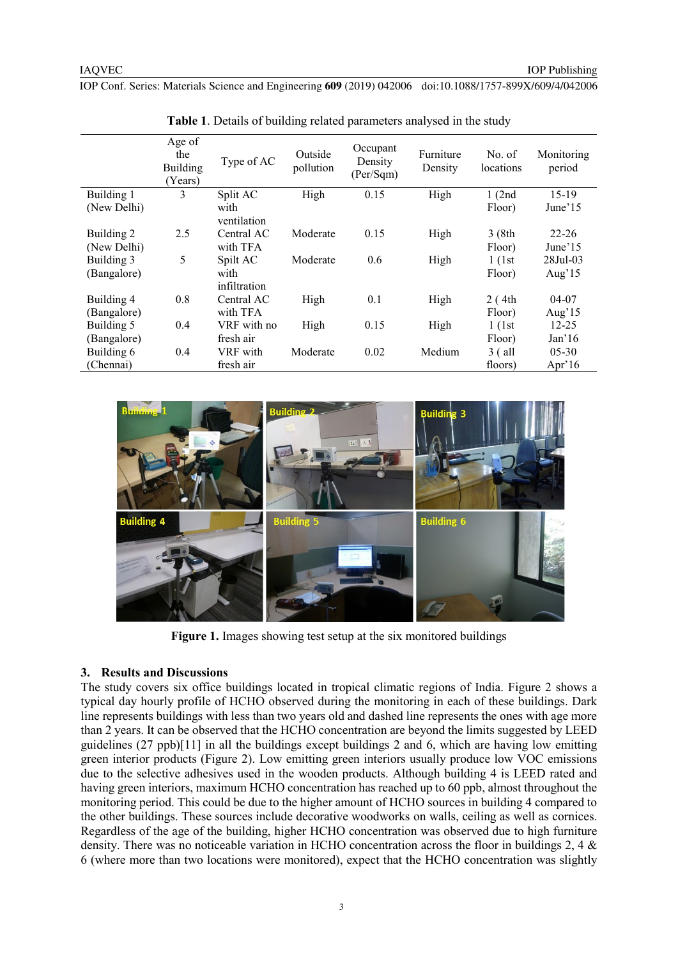IOP Conf. Series: Materials Science and Engineering **609** (2019) 042006 doi:10.1088/1757-899X/609/4/042006

|             | Age of<br>the<br><b>Building</b><br>(Years) | Type of AC          | Outside<br>pollution | Occupant<br>Density<br>(Per/Sqm) | Furniture<br>Density | No. of<br>locations | Monitoring<br>period |
|-------------|---------------------------------------------|---------------------|----------------------|----------------------------------|----------------------|---------------------|----------------------|
| Building 1  | 3                                           | Split AC            | High                 | 0.15                             | High                 | 1(2nd)              | $15-19$              |
| (New Delhi) |                                             | with<br>ventilation |                      |                                  |                      | Floor)              | June $15$            |
| Building 2  | 2.5                                         | Central AC          | Moderate             | 0.15                             | High                 | 3(8th)              | $22 - 26$            |
| (New Delhi) |                                             | with TFA            |                      |                                  |                      | Floor)              | June $15$            |
| Building 3  | 5                                           | Spilt AC            | Moderate             | 0.6                              | High                 | $1$ (1st            | 28Jul-03             |
| (Bangalore) |                                             | with                |                      |                                  |                      | Floor)              | Aug' $15$            |
|             |                                             | infiltration        |                      |                                  |                      |                     |                      |
| Building 4  | 0.8                                         | Central AC          | High                 | 0.1                              | High                 | 2(4th)              | $04-07$              |
| (Bangalore) |                                             | with TFA            |                      |                                  |                      | Floor)              | Aug' $15$            |
| Building 5  | 0.4                                         | VRF with no         | High                 | 0.15                             | High                 | $1$ (1st            | $12 - 25$            |
| (Bangalore) |                                             | fresh air           |                      |                                  |                      | Floor)              | Jan <sup>16</sup>    |
| Building 6  | 0.4                                         | VRF with            | Moderate             | 0.02                             | Medium               | 3 ( all             | $05 - 30$            |
| (Chennai)   |                                             | fresh air           |                      |                                  |                      | floors)             | Apr' $16$            |

**Table 1**. Details of building related parameters analysed in the study



Figure 1. Images showing test setup at the six monitored buildings

#### **3. Results and Discussions**

The study covers six office buildings located in tropical climatic regions of India. Figure 2 shows a typical day hourly profile of HCHO observed during the monitoring in each of these buildings. Dark line represents buildings with less than two years old and dashed line represents the ones with age more than 2 years. It can be observed that the HCHO concentration are beyond the limits suggested by LEED guidelines (27 ppb)[11] in all the buildings except buildings 2 and 6, which are having low emitting green interior products (Figure 2). Low emitting green interiors usually produce low VOC emissions due to the selective adhesives used in the wooden products. Although building 4 is LEED rated and having green interiors, maximum HCHO concentration has reached up to 60 ppb, almost throughout the monitoring period. This could be due to the higher amount of HCHO sources in building 4 compared to the other buildings. These sources include decorative woodworks on walls, ceiling as well as cornices. Regardless of the age of the building, higher HCHO concentration was observed due to high furniture density. There was no noticeable variation in HCHO concentration across the floor in buildings 2, 4 & 6 (where more than two locations were monitored), expect that the HCHO concentration was slightly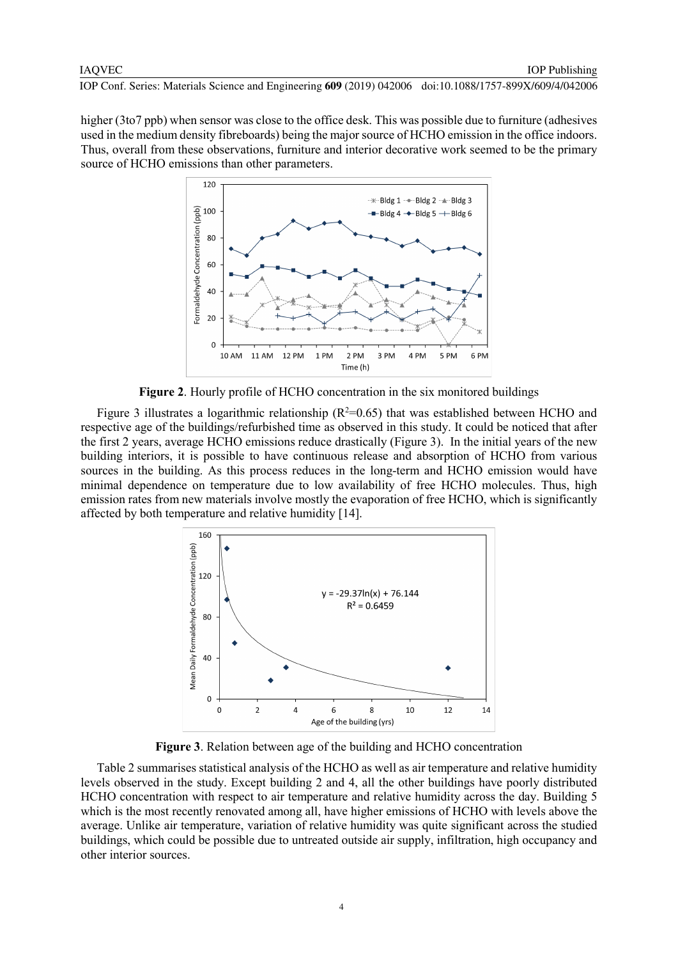IOP Conf. Series: Materials Science and Engineering **609** (2019) 042006 doi:10.1088/1757-899X/609/4/042006

higher (3to7 ppb) when sensor was close to the office desk. This was possible due to furniture (adhesives used in the medium density fibreboards) being the major source of HCHO emission in the office indoors. Thus, overall from these observations, furniture and interior decorative work seemed to be the primary source of HCHO emissions than other parameters.



**Figure 2**. Hourly profile of HCHO concentration in the six monitored buildings

Figure 3 illustrates a logarithmic relationship ( $R^2=0.65$ ) that was established between HCHO and respective age of the buildings/refurbished time as observed in this study. It could be noticed that after the first 2 years, average HCHO emissions reduce drastically (Figure 3). In the initial years of the new building interiors, it is possible to have continuous release and absorption of HCHO from various sources in the building. As this process reduces in the long-term and HCHO emission would have minimal dependence on temperature due to low availability of free HCHO molecules. Thus, high emission rates from new materials involve mostly the evaporation of free HCHO, which is significantly affected by both temperature and relative humidity [14].



**Figure 3**. Relation between age of the building and HCHO concentration

Table 2 summarises statistical analysis of the HCHO as well as air temperature and relative humidity levels observed in the study. Except building 2 and 4, all the other buildings have poorly distributed HCHO concentration with respect to air temperature and relative humidity across the day. Building 5 which is the most recently renovated among all, have higher emissions of HCHO with levels above the average. Unlike air temperature, variation of relative humidity was quite significant across the studied buildings, which could be possible due to untreated outside air supply, infiltration, high occupancy and other interior sources.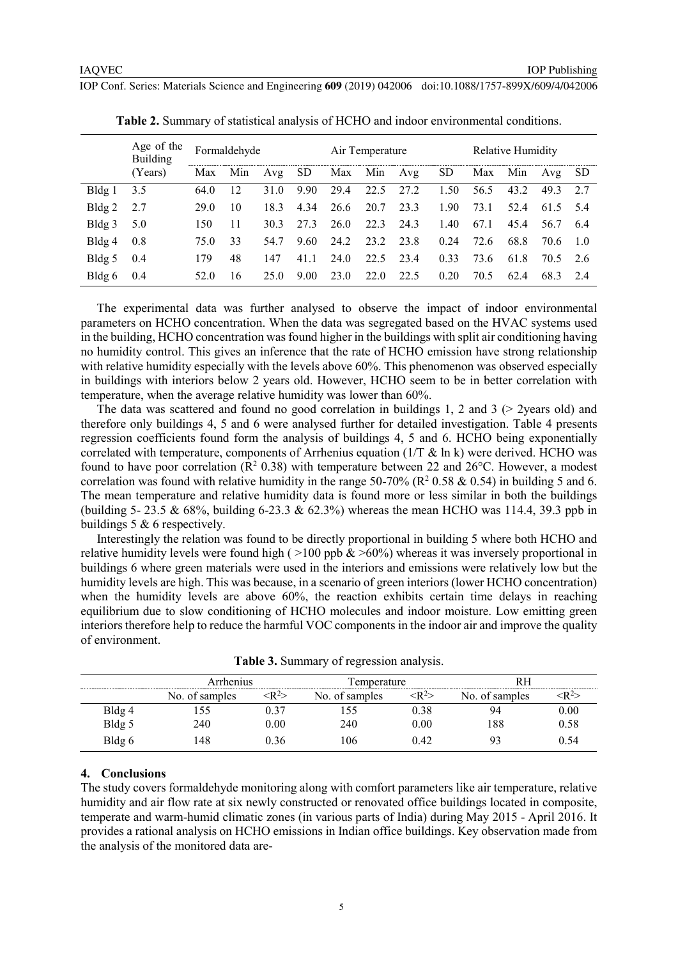| IOP Conf. Series: Materials Science and Engineering 609 (2019) 042006 doi:10.1088/1757-899X/609/4/042006 |  |
|----------------------------------------------------------------------------------------------------------|--|
|----------------------------------------------------------------------------------------------------------|--|

|                   | Age of the<br><b>Building</b> | Formaldehyde |     |      | Air Temperature |      |      | Relative Humidity |      |      |      |      |       |
|-------------------|-------------------------------|--------------|-----|------|-----------------|------|------|-------------------|------|------|------|------|-------|
| (Years)           |                               | Max          | Min | Avg  | SD.             | Max  | Min  | Avg               | SD.  | Max  | Min  | Avg  | -SD   |
| Bldg1             | 3.5                           | 64.0         | 12  | 31.0 | 9.90            | 29.4 | 22.5 | 27.2              | 1.50 | 56.5 | 43.2 | 49.3 | 2.7   |
| Bldg2             | 2.7                           | 29.0         | 10  | 18.3 | 4.34            | 26.6 | 20.7 | 23.3              | 1.90 | 73.1 | 52.4 | 61.5 | - 5.4 |
| Bldg <sub>3</sub> | 5.0                           | 150          | 11  | 30.3 | 27.3            | 26.0 | 22.3 | 24.3              | 1.40 | 67.1 | 45.4 | 56.7 | 6.4   |
| Bldg4             | 0.8                           | 75.0         | 33  | 54.7 | 9.60            | 24.2 | 23.2 | 23.8              | 0.24 | 72.6 | 68.8 | 70.6 | 1.0   |
| $Bldg$ 5          | 0.4                           | 179          | 48  | 147  | 41.1            | 24.0 | 22.5 | 23.4              | 0.33 | 73.6 | 61.8 | 70.5 | 2.6   |
| Bldg6             | 0.4                           | 52.0         | 16  | 25.0 | 9.00            | 23.0 | 22.0 | 22.5              | 0.20 | 70.5 | 62.4 | 68.3 | -2.4  |

| <b>Table 2.</b> Summary of statistical analysis of HCHO and indoor environmental conditions. |  |  |  |
|----------------------------------------------------------------------------------------------|--|--|--|
|                                                                                              |  |  |  |

The experimental data was further analysed to observe the impact of indoor environmental parameters on HCHO concentration. When the data was segregated based on the HVAC systems used in the building, HCHO concentration was found higher in the buildings with split air conditioning having no humidity control. This gives an inference that the rate of HCHO emission have strong relationship with relative humidity especially with the levels above 60%. This phenomenon was observed especially in buildings with interiors below 2 years old. However, HCHO seem to be in better correlation with temperature, when the average relative humidity was lower than 60%.

The data was scattered and found no good correlation in buildings 1, 2 and 3 ( $>$  2years old) and therefore only buildings 4, 5 and 6 were analysed further for detailed investigation. Table 4 presents regression coefficients found form the analysis of buildings 4, 5 and 6. HCHO being exponentially correlated with temperature, components of Arrhenius equation (1/T  $\&$  ln k) were derived. HCHO was found to have poor correlation ( $\mathbb{R}^2$  0.38) with temperature between 22 and 26°C. However, a modest correlation was found with relative humidity in the range 50-70% ( $\mathbb{R}^2$  0.58 & 0.54) in building 5 and 6. The mean temperature and relative humidity data is found more or less similar in both the buildings (building 5- 23.5 & 68%, building 6-23.3 & 62.3%) whereas the mean HCHO was 114.4, 39.3 ppb in buildings 5 & 6 respectively.

Interestingly the relation was found to be directly proportional in building 5 where both HCHO and relative humidity levels were found high ( $>100$  ppb  $>60\%$ ) whereas it was inversely proportional in buildings 6 where green materials were used in the interiors and emissions were relatively low but the humidity levels are high. This was because, in a scenario of green interiors (lower HCHO concentration) when the humidity levels are above 60%, the reaction exhibits certain time delays in reaching equilibrium due to slow conditioning of HCHO molecules and indoor moisture. Low emitting green interiors therefore help to reduce the harmful VOC components in the indoor air and improve the quality of environment.

|        | Arrhenius      |       | emperature     |                                |                |                 |  |
|--------|----------------|-------|----------------|--------------------------------|----------------|-----------------|--|
|        | No. of samples | $R^2$ | No. of samples | $\langle \mathbf{R}^2 \rangle$ | No. of samples | :R <sup>2</sup> |  |
| Bldg 4 |                |       |                | ).38                           |                | $0.00\,$        |  |
| Bldg 5 | 240            | 0.00  | 240            | 0.00                           | 88             | 0.58            |  |
| Bldg 6 | .48            | ).36  | 106            | 0.42                           |                | 0.54            |  |

**Table 3.** Summary of regression analysis.

#### **4. Conclusions**

The study covers formaldehyde monitoring along with comfort parameters like air temperature, relative humidity and air flow rate at six newly constructed or renovated office buildings located in composite, temperate and warm-humid climatic zones (in various parts of India) during May 2015 - April 2016. It provides a rational analysis on HCHO emissions in Indian office buildings. Key observation made from the analysis of the monitored data are